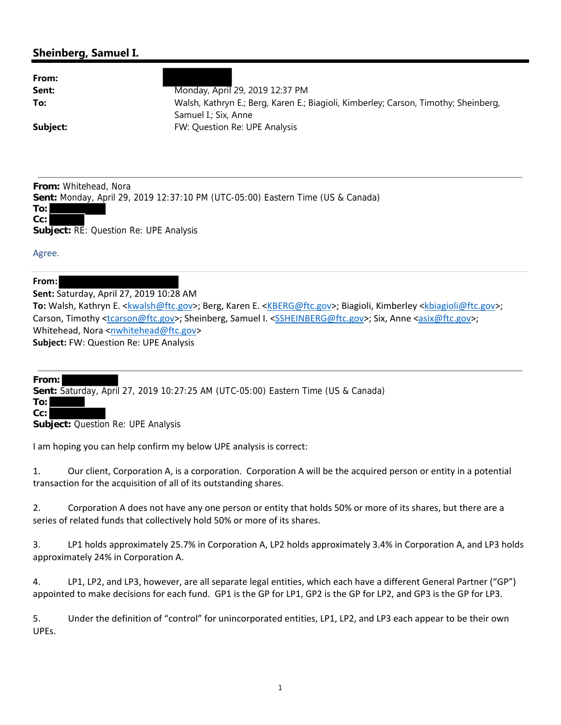## **Sheinberg, Samuel I.**

| Monday, April 29, 2019 12:37 PM                                                     |
|-------------------------------------------------------------------------------------|
| Walsh, Kathryn E.; Berg, Karen E.; Biagioli, Kimberley; Carson, Timothy; Sheinberg, |
| Samuel I.; Six, Anne                                                                |
| FW: Question Re: UPE Analysis                                                       |
|                                                                                     |

**From:** Whitehead, Nora

**Sent:** Monday, April 29, 2019 12:37:10 PM (UTC-05:00) Eastern Time (US & Canada)



**Subject:** RE: Question Re: UPE Analysis

Agree.

## **From:**

**Sent:** Saturday, April 27, 2019 10:28 AM

**To:** Walsh, Kathryn E. <kwalsh@ftc.gov>; Berg, Karen E. <KBERG@ftc.gov>; Biagioli, Kimberley <kbiagioli@ftc.gov>; Carson, Timothy <tcarson@ftc.gov>; Sheinberg, Samuel I. <SSHEINBERG@ftc.gov>; Six, Anne <asix@ftc.gov>; Whitehead, Nora <nwhitehead@ftc.gov> **Subject:** FW: Question Re: UPE Analysis

**From:**

**Sent:** Saturday, April 27, 2019 10:27:25 AM (UTC-05:00) Eastern Time (US & Canada)

**To: Cc:**

**Subject:** Question Re: UPE Analysis

I am hoping you can help confirm my below UPE analysis is correct:

1. Our client, Corporation A, is a corporation. Corporation A will be the acquired person or entity in a potential transaction for the acquisition of all of its outstanding shares.

2. Corporation A does not have any one person or entity that holds 50% or more of its shares, but there are a series of related funds that collectively hold 50% or more of its shares.

3. LP1 holds approximately 25.7% in Corporation A, LP2 holds approximately 3.4% in Corporation A, and LP3 holds approximately 24% in Corporation A.

4. LP1, LP2, and LP3, however, are all separate legal entities, which each have a different General Partner ("GP") appointed to make decisions for each fund. GP1 is the GP for LP1, GP2 is the GP for LP2, and GP3 is the GP for LP3.

5. Under the definition of "control" for unincorporated entities, LP1, LP2, and LP3 each appear to be their own UPEs.